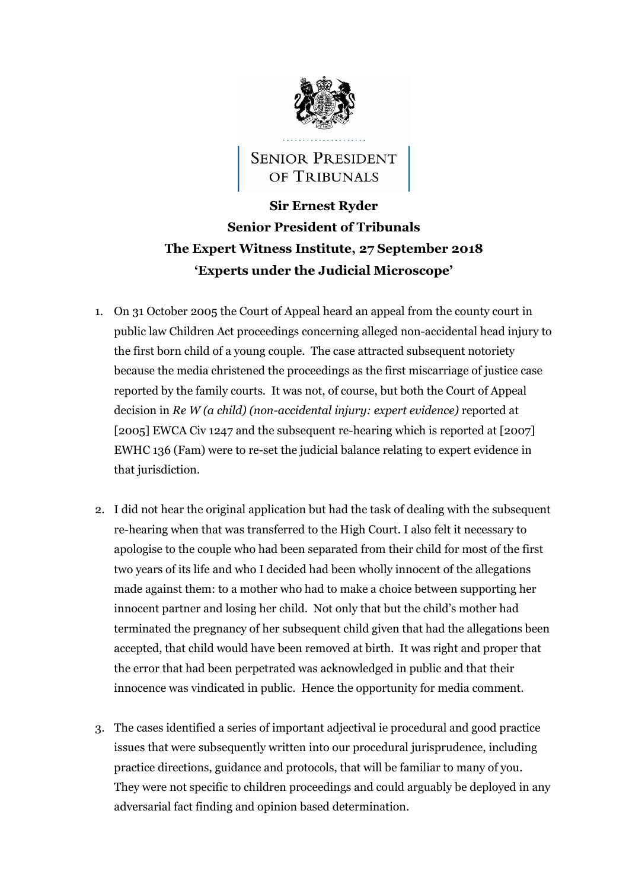

## **SENIOR PRESIDENT** OF TRIBUNALS

## **Sir Ernest Ryder Senior President of Tribunals The Expert Witness Institute, 27 September 2018 'Experts under the Judicial Microscope'**

- 1. On 31 October 2005 the Court of Appeal heard an appeal from the county court in public law Children Act proceedings concerning alleged non-accidental head injury to the first born child of a young couple. The case attracted subsequent notoriety because the media christened the proceedings as the first miscarriage of justice case reported by the family courts. It was not, of course, but both the Court of Appeal decision in *Re W (a child) (non-accidental injury: expert evidence)* reported at [2005] EWCA Civ 1247 and the subsequent re-hearing which is reported at [2007] EWHC 136 (Fam) were to re-set the judicial balance relating to expert evidence in that jurisdiction.
- 2. I did not hear the original application but had the task of dealing with the subsequent re-hearing when that was transferred to the High Court. I also felt it necessary to apologise to the couple who had been separated from their child for most of the first two years of its life and who I decided had been wholly innocent of the allegations made against them: to a mother who had to make a choice between supporting her innocent partner and losing her child. Not only that but the child's mother had terminated the pregnancy of her subsequent child given that had the allegations been accepted, that child would have been removed at birth. It was right and proper that the error that had been perpetrated was acknowledged in public and that their innocence was vindicated in public. Hence the opportunity for media comment.
- 3. The cases identified a series of important adjectival ie procedural and good practice issues that were subsequently written into our procedural jurisprudence, including practice directions, guidance and protocols, that will be familiar to many of you. They were not specific to children proceedings and could arguably be deployed in any adversarial fact finding and opinion based determination.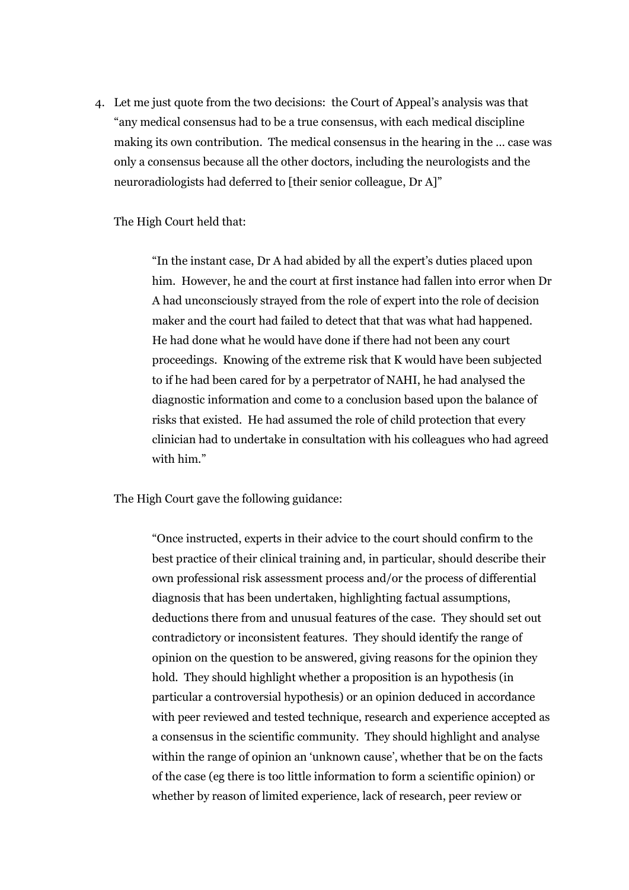4. Let me just quote from the two decisions: the Court of Appeal's analysis was that "any medical consensus had to be a true consensus, with each medical discipline making its own contribution. The medical consensus in the hearing in the … case was only a consensus because all the other doctors, including the neurologists and the neuroradiologists had deferred to [their senior colleague, Dr A]"

## The High Court held that:

"In the instant case, Dr A had abided by all the expert's duties placed upon him. However, he and the court at first instance had fallen into error when Dr A had unconsciously strayed from the role of expert into the role of decision maker and the court had failed to detect that that was what had happened. He had done what he would have done if there had not been any court proceedings. Knowing of the extreme risk that K would have been subjected to if he had been cared for by a perpetrator of NAHI, he had analysed the diagnostic information and come to a conclusion based upon the balance of risks that existed. He had assumed the role of child protection that every clinician had to undertake in consultation with his colleagues who had agreed with him."

The High Court gave the following guidance:

"Once instructed, experts in their advice to the court should confirm to the best practice of their clinical training and, in particular, should describe their own professional risk assessment process and/or the process of differential diagnosis that has been undertaken, highlighting factual assumptions, deductions there from and unusual features of the case. They should set out contradictory or inconsistent features. They should identify the range of opinion on the question to be answered, giving reasons for the opinion they hold. They should highlight whether a proposition is an hypothesis (in particular a controversial hypothesis) or an opinion deduced in accordance with peer reviewed and tested technique, research and experience accepted as a consensus in the scientific community. They should highlight and analyse within the range of opinion an 'unknown cause', whether that be on the facts of the case (eg there is too little information to form a scientific opinion) or whether by reason of limited experience, lack of research, peer review or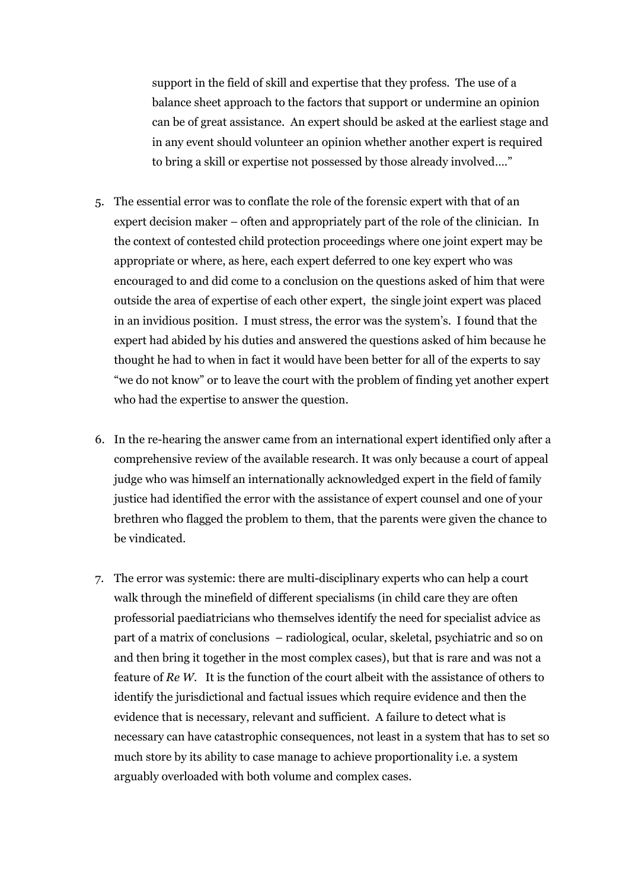support in the field of skill and expertise that they profess. The use of a balance sheet approach to the factors that support or undermine an opinion can be of great assistance. An expert should be asked at the earliest stage and in any event should volunteer an opinion whether another expert is required to bring a skill or expertise not possessed by those already involved…."

- 5. The essential error was to conflate the role of the forensic expert with that of an expert decision maker – often and appropriately part of the role of the clinician. In the context of contested child protection proceedings where one joint expert may be appropriate or where, as here, each expert deferred to one key expert who was encouraged to and did come to a conclusion on the questions asked of him that were outside the area of expertise of each other expert, the single joint expert was placed in an invidious position. I must stress, the error was the system's. I found that the expert had abided by his duties and answered the questions asked of him because he thought he had to when in fact it would have been better for all of the experts to say "we do not know" or to leave the court with the problem of finding yet another expert who had the expertise to answer the question.
- 6. In the re-hearing the answer came from an international expert identified only after a comprehensive review of the available research. It was only because a court of appeal judge who was himself an internationally acknowledged expert in the field of family justice had identified the error with the assistance of expert counsel and one of your brethren who flagged the problem to them, that the parents were given the chance to be vindicated.
- 7. The error was systemic: there are multi-disciplinary experts who can help a court walk through the minefield of different specialisms (in child care they are often professorial paediatricians who themselves identify the need for specialist advice as part of a matrix of conclusions – radiological, ocular, skeletal, psychiatric and so on and then bring it together in the most complex cases), but that is rare and was not a feature of *Re W*. It is the function of the court albeit with the assistance of others to identify the jurisdictional and factual issues which require evidence and then the evidence that is necessary, relevant and sufficient. A failure to detect what is necessary can have catastrophic consequences, not least in a system that has to set so much store by its ability to case manage to achieve proportionality i.e. a system arguably overloaded with both volume and complex cases.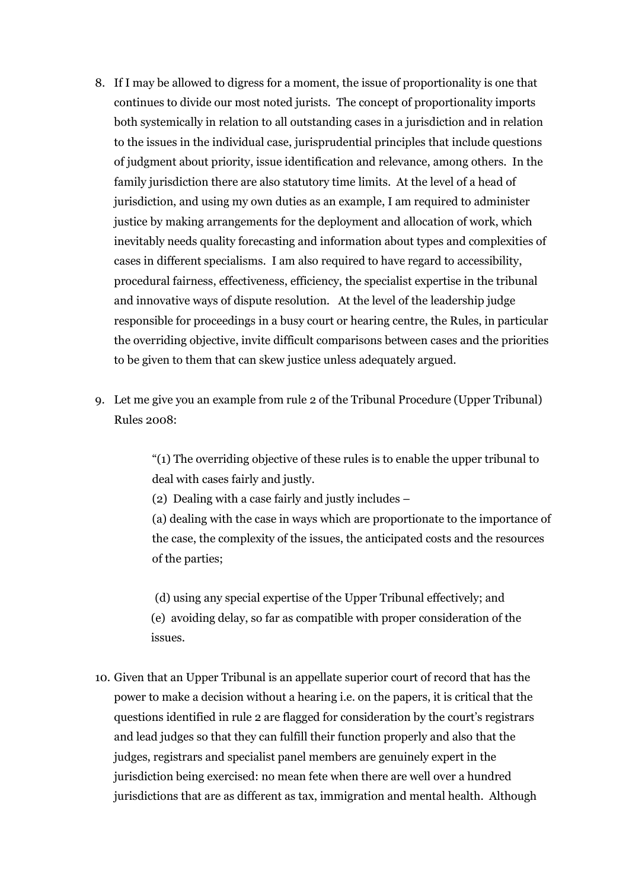- 8. If I may be allowed to digress for a moment, the issue of proportionality is one that continues to divide our most noted jurists. The concept of proportionality imports both systemically in relation to all outstanding cases in a jurisdiction and in relation to the issues in the individual case, jurisprudential principles that include questions of judgment about priority, issue identification and relevance, among others. In the family jurisdiction there are also statutory time limits. At the level of a head of jurisdiction, and using my own duties as an example, I am required to administer justice by making arrangements for the deployment and allocation of work, which inevitably needs quality forecasting and information about types and complexities of cases in different specialisms. I am also required to have regard to accessibility, procedural fairness, effectiveness, efficiency, the specialist expertise in the tribunal and innovative ways of dispute resolution. At the level of the leadership judge responsible for proceedings in a busy court or hearing centre, the Rules, in particular the overriding objective, invite difficult comparisons between cases and the priorities to be given to them that can skew justice unless adequately argued.
- 9. Let me give you an example from rule 2 of the Tribunal Procedure (Upper Tribunal) Rules 2008:

"(1) The overriding objective of these rules is to enable the upper tribunal to deal with cases fairly and justly.

(2) Dealing with a case fairly and justly includes –

(a) dealing with the case in ways which are proportionate to the importance of the case, the complexity of the issues, the anticipated costs and the resources of the parties;

(d) using any special expertise of the Upper Tribunal effectively; and (e) avoiding delay, so far as compatible with proper consideration of the issues.

10. Given that an Upper Tribunal is an appellate superior court of record that has the power to make a decision without a hearing i.e. on the papers, it is critical that the questions identified in rule 2 are flagged for consideration by the court's registrars and lead judges so that they can fulfill their function properly and also that the judges, registrars and specialist panel members are genuinely expert in the jurisdiction being exercised: no mean fete when there are well over a hundred jurisdictions that are as different as tax, immigration and mental health. Although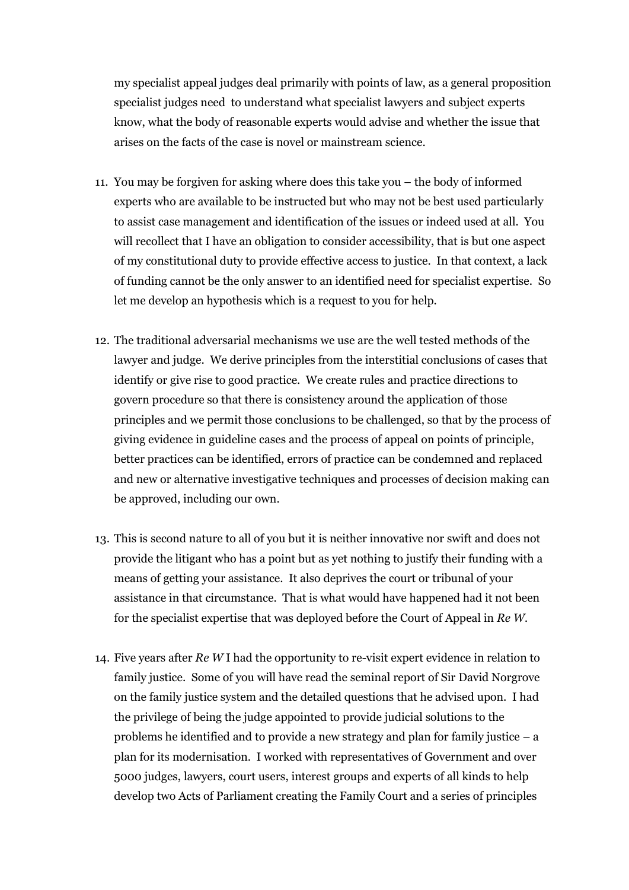my specialist appeal judges deal primarily with points of law, as a general proposition specialist judges need to understand what specialist lawyers and subject experts know, what the body of reasonable experts would advise and whether the issue that arises on the facts of the case is novel or mainstream science.

- 11. You may be forgiven for asking where does this take you the body of informed experts who are available to be instructed but who may not be best used particularly to assist case management and identification of the issues or indeed used at all. You will recollect that I have an obligation to consider accessibility, that is but one aspect of my constitutional duty to provide effective access to justice. In that context, a lack of funding cannot be the only answer to an identified need for specialist expertise. So let me develop an hypothesis which is a request to you for help.
- 12. The traditional adversarial mechanisms we use are the well tested methods of the lawyer and judge. We derive principles from the interstitial conclusions of cases that identify or give rise to good practice. We create rules and practice directions to govern procedure so that there is consistency around the application of those principles and we permit those conclusions to be challenged, so that by the process of giving evidence in guideline cases and the process of appeal on points of principle, better practices can be identified, errors of practice can be condemned and replaced and new or alternative investigative techniques and processes of decision making can be approved, including our own.
- 13. This is second nature to all of you but it is neither innovative nor swift and does not provide the litigant who has a point but as yet nothing to justify their funding with a means of getting your assistance. It also deprives the court or tribunal of your assistance in that circumstance. That is what would have happened had it not been for the specialist expertise that was deployed before the Court of Appeal in *Re W.*
- 14. Five years after *Re W* I had the opportunity to re-visit expert evidence in relation to family justice. Some of you will have read the seminal report of Sir David Norgrove on the family justice system and the detailed questions that he advised upon. I had the privilege of being the judge appointed to provide judicial solutions to the problems he identified and to provide a new strategy and plan for family justice – a plan for its modernisation. I worked with representatives of Government and over 5000 judges, lawyers, court users, interest groups and experts of all kinds to help develop two Acts of Parliament creating the Family Court and a series of principles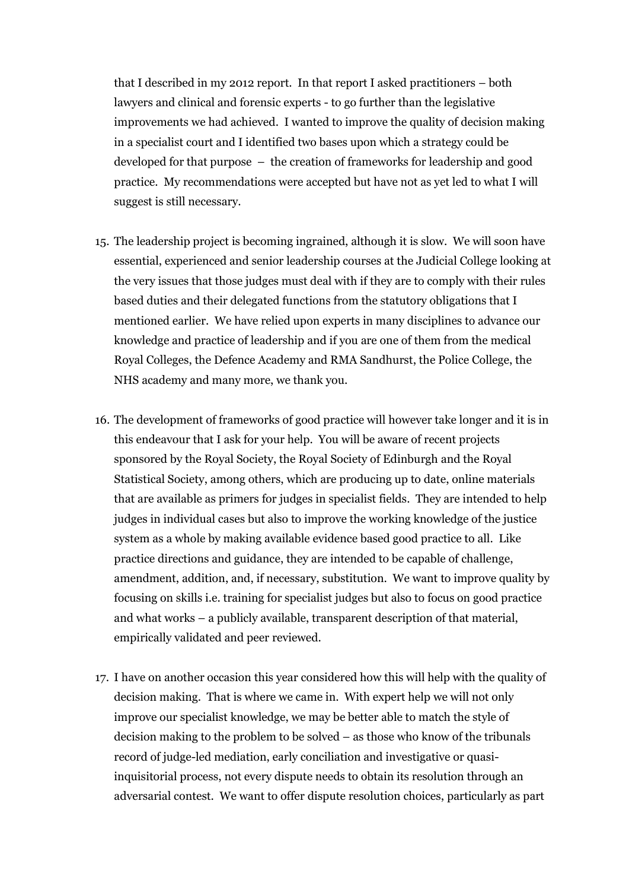that I described in my 2012 report. In that report I asked practitioners – both lawyers and clinical and forensic experts - to go further than the legislative improvements we had achieved. I wanted to improve the quality of decision making in a specialist court and I identified two bases upon which a strategy could be developed for that purpose – the creation of frameworks for leadership and good practice. My recommendations were accepted but have not as yet led to what I will suggest is still necessary.

- 15. The leadership project is becoming ingrained, although it is slow. We will soon have essential, experienced and senior leadership courses at the Judicial College looking at the very issues that those judges must deal with if they are to comply with their rules based duties and their delegated functions from the statutory obligations that I mentioned earlier. We have relied upon experts in many disciplines to advance our knowledge and practice of leadership and if you are one of them from the medical Royal Colleges, the Defence Academy and RMA Sandhurst, the Police College, the NHS academy and many more, we thank you.
- 16. The development of frameworks of good practice will however take longer and it is in this endeavour that I ask for your help. You will be aware of recent projects sponsored by the Royal Society, the Royal Society of Edinburgh and the Royal Statistical Society, among others, which are producing up to date, online materials that are available as primers for judges in specialist fields. They are intended to help judges in individual cases but also to improve the working knowledge of the justice system as a whole by making available evidence based good practice to all. Like practice directions and guidance, they are intended to be capable of challenge, amendment, addition, and, if necessary, substitution. We want to improve quality by focusing on skills i.e. training for specialist judges but also to focus on good practice and what works – a publicly available, transparent description of that material, empirically validated and peer reviewed.
- 17. I have on another occasion this year considered how this will help with the quality of decision making. That is where we came in. With expert help we will not only improve our specialist knowledge, we may be better able to match the style of decision making to the problem to be solved – as those who know of the tribunals record of judge-led mediation, early conciliation and investigative or quasiinquisitorial process, not every dispute needs to obtain its resolution through an adversarial contest. We want to offer dispute resolution choices, particularly as part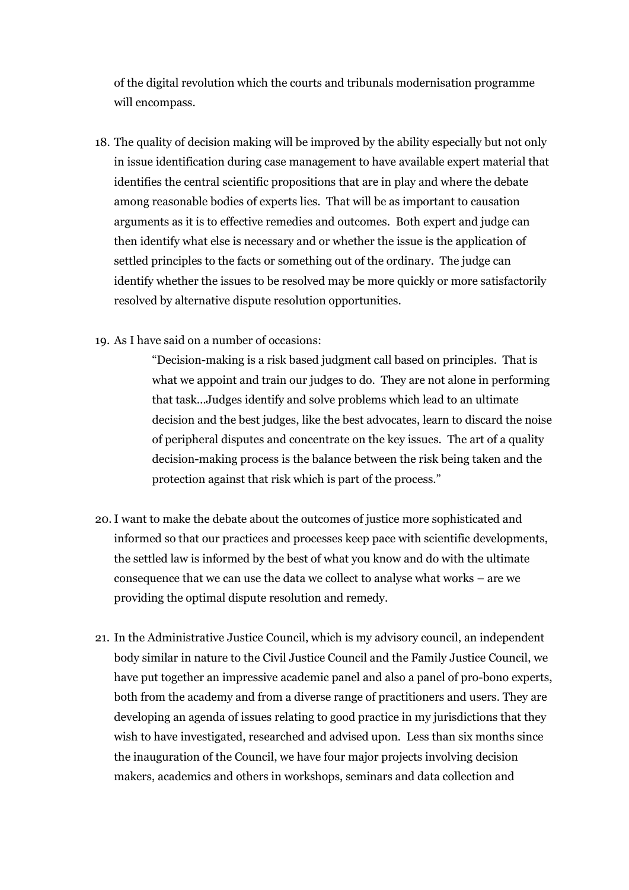of the digital revolution which the courts and tribunals modernisation programme will encompass.

- 18. The quality of decision making will be improved by the ability especially but not only in issue identification during case management to have available expert material that identifies the central scientific propositions that are in play and where the debate among reasonable bodies of experts lies. That will be as important to causation arguments as it is to effective remedies and outcomes. Both expert and judge can then identify what else is necessary and or whether the issue is the application of settled principles to the facts or something out of the ordinary. The judge can identify whether the issues to be resolved may be more quickly or more satisfactorily resolved by alternative dispute resolution opportunities.
- 19. As I have said on a number of occasions:

"Decision-making is a risk based judgment call based on principles. That is what we appoint and train our judges to do. They are not alone in performing that task…Judges identify and solve problems which lead to an ultimate decision and the best judges, like the best advocates, learn to discard the noise of peripheral disputes and concentrate on the key issues. The art of a quality decision-making process is the balance between the risk being taken and the protection against that risk which is part of the process."

- 20. I want to make the debate about the outcomes of justice more sophisticated and informed so that our practices and processes keep pace with scientific developments, the settled law is informed by the best of what you know and do with the ultimate consequence that we can use the data we collect to analyse what works – are we providing the optimal dispute resolution and remedy.
- 21. In the Administrative Justice Council, which is my advisory council, an independent body similar in nature to the Civil Justice Council and the Family Justice Council, we have put together an impressive academic panel and also a panel of pro-bono experts, both from the academy and from a diverse range of practitioners and users. They are developing an agenda of issues relating to good practice in my jurisdictions that they wish to have investigated, researched and advised upon. Less than six months since the inauguration of the Council, we have four major projects involving decision makers, academics and others in workshops, seminars and data collection and